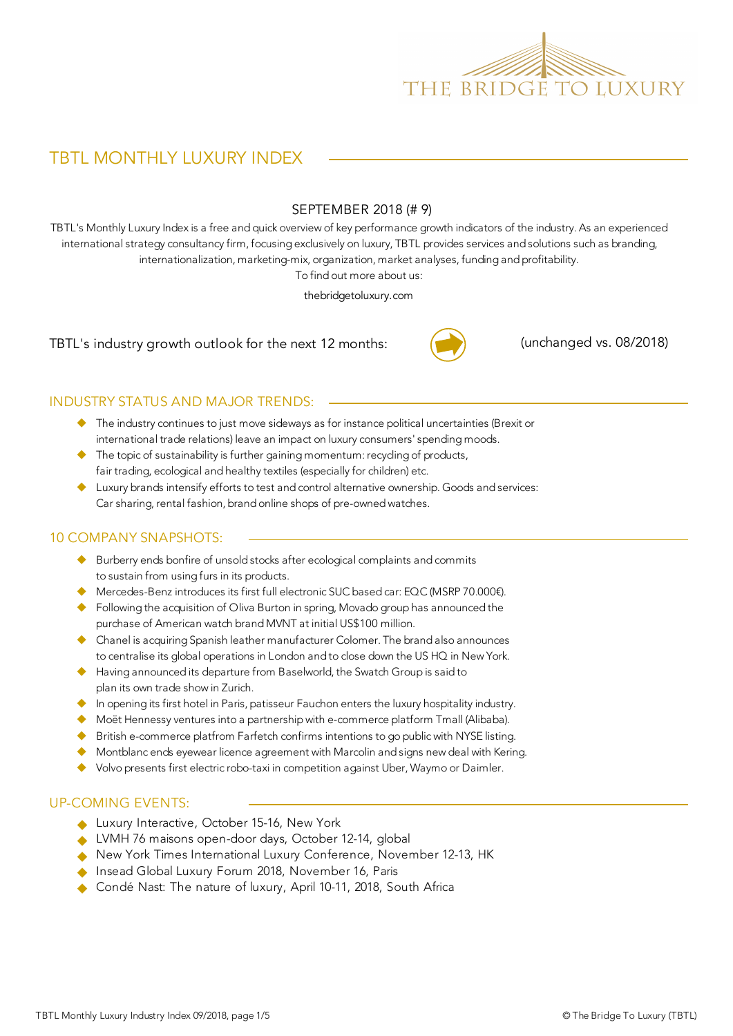

# TBTL MONTHLY LUXURY INDEX

#### SEPTEMBER 2018 (# 9)

TBTL's Monthly Luxury Index is a free and quick overview of key performance growth indicators of the industry. As an experienced international strategy consultancy firm, focusing exclusively on luxury, TBTL provides services and solutions such as branding, internationalization, marketing-mix, organization, market analyses, funding and profitability.

To find out more about us:

thebridgetoluxury.com

TBTL's industry growth outlook for the next 12 months:



(unchanged vs. 08/2018)

#### INDUSTRY STATUS AND MAJOR TRENDS:

- ◆ The industry continues to just move sideways as for instance political uncertainties (Brexit or international trade relations) leave an impact on luxury consumers' spending moods.
- $\blacklozenge$  The topic of sustainability is further gaining momentum: recycling of products, fair trading, ecological and healthy textiles (especially for children) etc.
- $\blacklozenge$  Luxury brands intensify efforts to test and control alternative ownership. Goods and services: Car sharing, rental fashion, brand online shops of pre-owned watches.

#### 10 COMPANY SNAPSHOTS:

- $\blacklozenge$  Burberry ends bonfire of unsold stocks after ecological complaints and commits to sustain from using furs in its products.
- ◆ Mercedes-Benz introduces its first full electronic SUC based car: EQC (MSRP 70.000€).
- Following the acquisition of Oliva Burton in spring, Movado group has announced the purchase of American watch brand MVNT at initial US\$100 million.
- ◆ Chanel is acquiring Spanish leather manufacturer Colomer. The brand also announces to centralise its global operations in London and to close down the US HQ in New York.
- ◆ Having announced its departure from Baselworld, the Swatch Group is said to plan its own trade show in Zurich.
- $\blacklozenge$  In opening its first hotel in Paris, patisseur Fauchon enters the luxury hospitality industry.
- ◆ Moët Hennessy ventures into a partnership with e-commerce platform Tmall (Alibaba).
- $\blacklozenge$  British e-commerce platfrom Farfetch confirms intentions to go public with NYSE listing.
- $\blacklozenge$  Montblanc ends eyewear licence agreement with Marcolin and signs new deal with Kering.
- ◆ Volvo presents first electric robo-taxi in competition against Uber, Waymo or Daimler.

#### UP-COMING EVENTS:

- Luxury Interactive, October 15-16, New York
- UWH 76 maisons open-door days, October 12-14, global
- ◆ New York Times International Luxury Conference, November 12-13, HK
- Insead Global Luxury Forum 2018, November 16, Paris
- ◆ Condé Nast: The nature of luxury, April 10-11, 2018, South Africa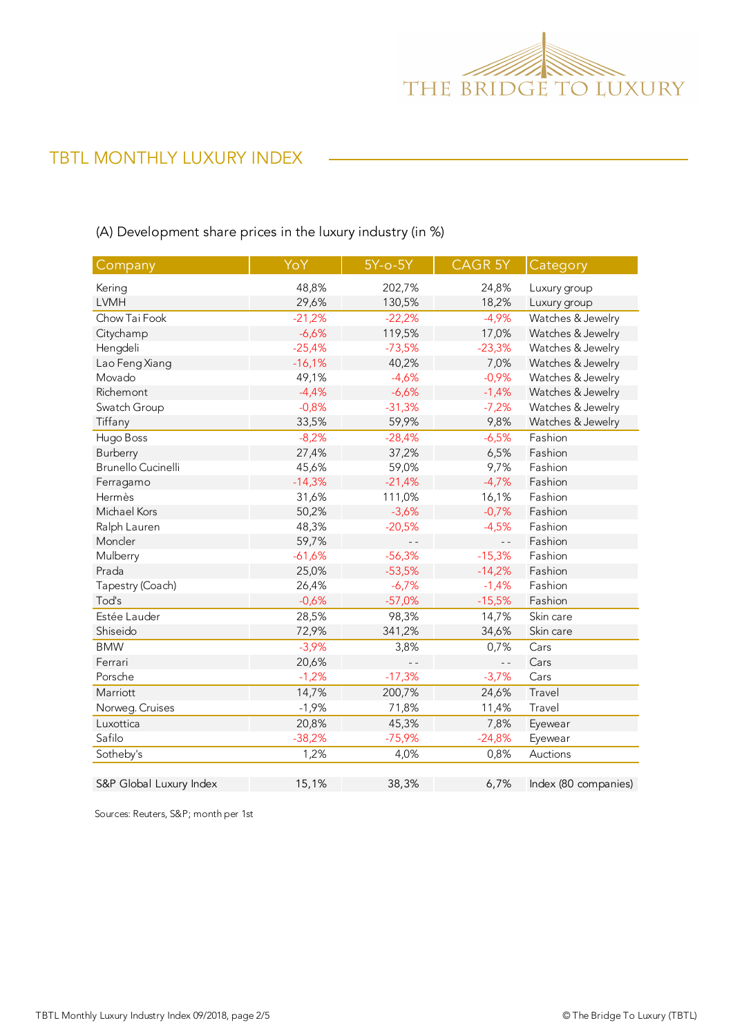

# TBTL MONTHLY LUXURY INDEX

(A) Development share prices in the luxury industry (in %)

| Company                 | YoY      | $5Y-0-5Y$ | CAGR 5Y        | Category             |
|-------------------------|----------|-----------|----------------|----------------------|
| Kering                  | 48,8%    | 202,7%    | 24,8%          | Luxury group         |
| <b>LVMH</b>             | 29,6%    | 130,5%    | 18,2%          | Luxury group         |
| Chow Tai Fook           | $-21,2%$ | $-22,2%$  | $-4,9%$        | Watches & Jewelry    |
| Citychamp               | $-6,6%$  | 119,5%    | 17,0%          | Watches & Jewelry    |
| Hengdeli                | $-25,4%$ | $-73,5%$  | $-23,3%$       | Watches & Jewelry    |
| Lao Feng Xiang          | $-16,1%$ | 40,2%     | 7,0%           | Watches & Jewelry    |
| Movado                  | 49,1%    | $-4,6%$   | $-0,9%$        | Watches & Jewelry    |
| Richemont               | $-4,4%$  | $-6,6%$   | $-1,4%$        | Watches & Jewelry    |
| Swatch Group            | $-0,8%$  | $-31,3%$  | $-7,2%$        | Watches & Jewelry    |
| Tiffany                 | 33,5%    | 59,9%     | 9,8%           | Watches & Jewelry    |
| Hugo Boss               | $-8,2%$  | $-28,4%$  | $-6,5%$        | Fashion              |
| Burberry                | 27,4%    | 37,2%     | 6,5%           | Fashion              |
| Brunello Cucinelli      | 45,6%    | 59,0%     | 9,7%           | Fashion              |
| Ferragamo               | $-14,3%$ | $-21,4%$  | $-4,7%$        | Fashion              |
| Hermès                  | 31,6%    | 111,0%    | 16,1%          | Fashion              |
| Michael Kors            | 50,2%    | $-3,6%$   | $-0,7%$        | Fashion              |
| Ralph Lauren            | 48,3%    | $-20,5%$  | $-4,5%$        | Fashion              |
| Moncler                 | 59,7%    |           | $ -$           | Fashion              |
| Mulberry                | $-61,6%$ | $-56,3%$  | $-15,3%$       | Fashion              |
| Prada                   | 25,0%    | $-53,5%$  | $-14,2%$       | Fashion              |
| Tapestry (Coach)        | 26,4%    | $-6,7%$   | $-1,4%$        | Fashion              |
| Tod's                   | $-0,6%$  | $-57,0%$  | $-15,5%$       | Fashion              |
| Estée Lauder            | 28,5%    | 98,3%     | 14,7%          | Skin care            |
| Shiseido                | 72,9%    | 341,2%    | 34,6%          | Skin care            |
| <b>BMW</b>              | $-3,9%$  | 3,8%      | 0,7%           | Cars                 |
| Ferrari                 | 20,6%    |           | $\overline{a}$ | Cars                 |
| Porsche                 | $-1,2%$  | $-17,3%$  | $-3,7%$        | Cars                 |
| Marriott                | 14,7%    | 200,7%    | 24,6%          | Travel               |
| Norweg. Cruises         | $-1,9%$  | 71,8%     | 11,4%          | Travel               |
| Luxottica               | 20,8%    | 45,3%     | 7,8%           | Eyewear              |
| Safilo                  | $-38,2%$ | $-75,9%$  | $-24,8%$       | Eyewear              |
| Sotheby's               | 1,2%     | 4,0%      | 0,8%           | Auctions             |
| S&P Global Luxury Index | 15,1%    | 38,3%     | 6,7%           | Index (80 companies) |

Sources: Reuters, S&P; month per 1st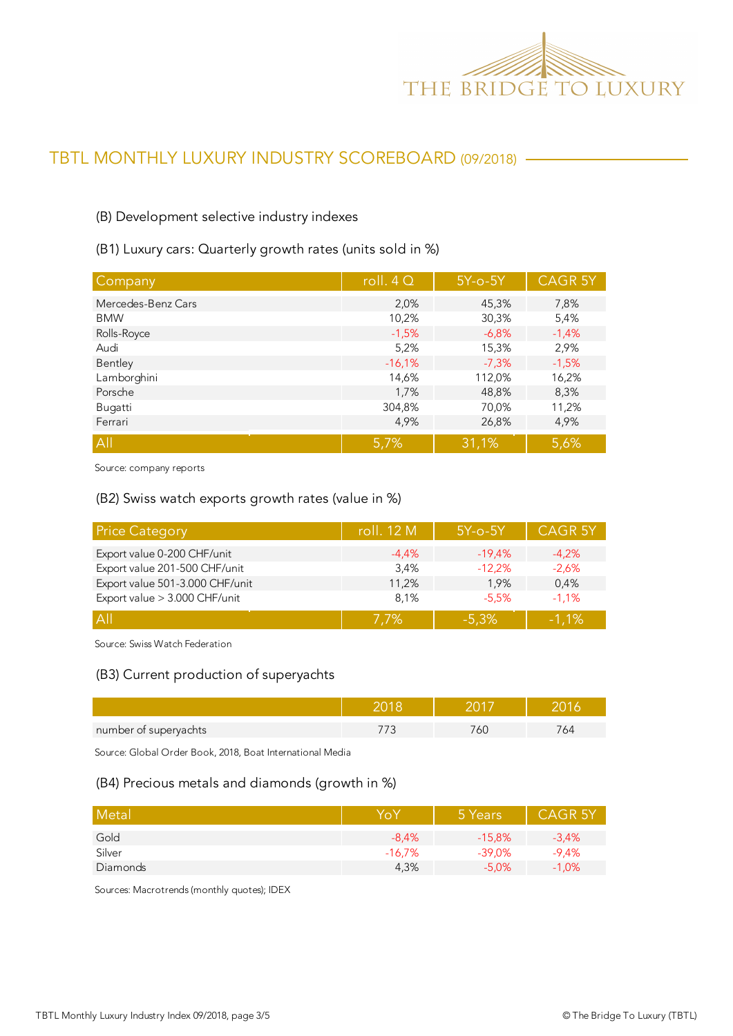

# TBTL MONTHLY LUXURY INDUSTRY SCOREBOARD (09/2018)

#### (B) Development selective industry indexes

(B1) Luxury cars: Quarterly growth rates (units sold in %)

| Company            | roll. $4Q$ | $5Y$ -o- $5Y$ | <b>CAGR 5Y</b> |
|--------------------|------------|---------------|----------------|
| Mercedes-Benz Cars | 2,0%       | 45,3%         | 7,8%           |
| <b>BMW</b>         | 10,2%      | 30,3%         | 5,4%           |
| Rolls-Royce        | $-1,5%$    | $-6,8%$       | $-1,4%$        |
| Audi               | 5,2%       | 15,3%         | 2,9%           |
| Bentley            | $-16,1%$   | $-7,3%$       | $-1,5%$        |
| Lamborghini        | 14,6%      | 112,0%        | 16,2%          |
| Porsche            | 1,7%       | 48,8%         | 8,3%           |
| Bugatti            | 304,8%     | 70,0%         | 11,2%          |
| Ferrari            | 4,9%       | 26,8%         | 4,9%           |
| All                | 5,7%       | 31,1%         | 5,6%           |

Source: company reports

#### (B2) Swiss watch exports growth rates (value in %)

| <b>Price Category</b>           | roll. 12 M | $5Y$ -o- $5Y$ | <b>CAGR 5Y</b> |
|---------------------------------|------------|---------------|----------------|
| Export value 0-200 CHF/unit     | $-4.4\%$   | $-19.4%$      | $-4,2%$        |
| Export value 201-500 CHF/unit   | 3,4%       | $-12,2%$      | $-2,6%$        |
| Export value 501-3.000 CHF/unit | 11,2%      | 1.9%          | 0,4%           |
| Export value > 3.000 CHF/unit   | 8,1%       | $-5.5%$       | $-1.1%$        |
| A                               | 7.7%       | $-5.3%$       | $-1.1\%$       |

Source: Swiss Watch Federation

#### (B3) Current production of superyachts

| number of superyachts |  | ⊬ت |
|-----------------------|--|----|

Source: Global Order Book, 2018, Boat International Media

#### (B4) Precious metals and diamonds (growth in %)

| Metal    | Yo)      | 5 Years   | <b>CAGR 5Y</b> |
|----------|----------|-----------|----------------|
| Gold     | $-8.4%$  | $-15,8%$  | $-3,4%$        |
| Silver   | $-16.7%$ | $-39.0\%$ | $-9,4%$        |
| Diamonds | 4,3%     | $-5.0%$   | $-1.0%$        |

Sources: Macrotrends (monthly quotes); IDEX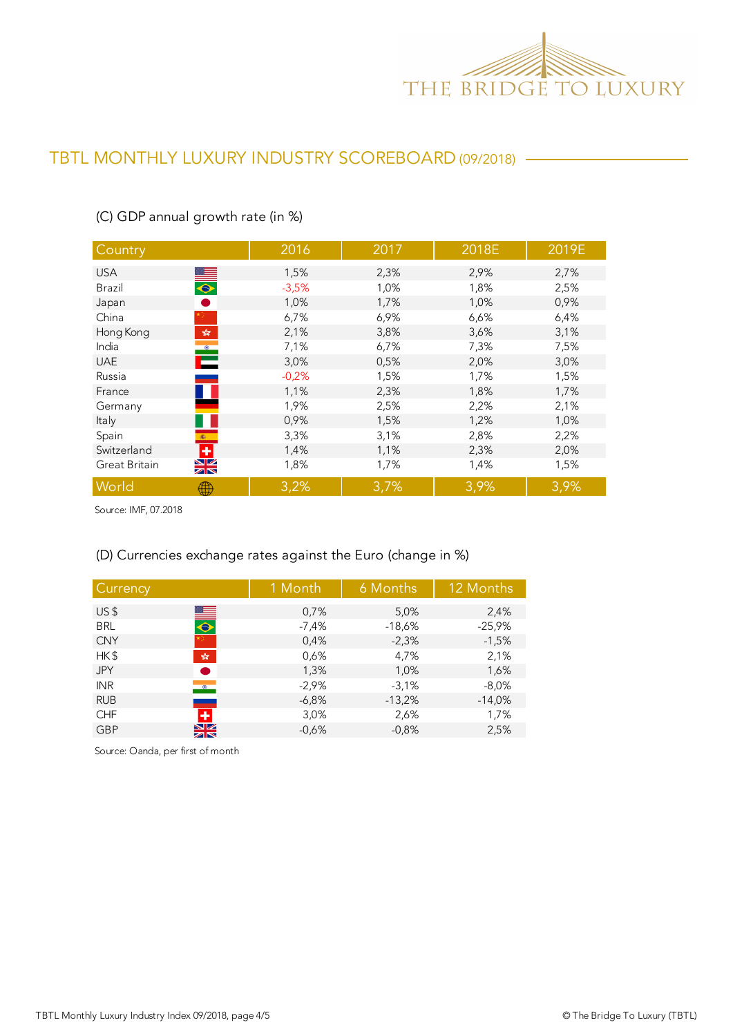

### TBTL MONTHLY LUXURY INDUSTRY SCOREBOARD (09/2018)

| Country                                                                            | 2016    | 2017 | 2018E | 2019E |
|------------------------------------------------------------------------------------|---------|------|-------|-------|
|                                                                                    |         |      |       |       |
| <b>USA</b>                                                                         | 1,5%    | 2,3% | 2,9%  | 2,7%  |
| $\frac{1}{\bullet}$<br>Brazil                                                      | $-3,5%$ | 1,0% | 1,8%  | 2,5%  |
| Japan                                                                              | 1,0%    | 1,7% | 1,0%  | 0,9%  |
| China                                                                              | 6,7%    | 6,9% | 6,6%  | 6,4%  |
| Hong Kong<br>$\mathcal{P}^{\mathcal{S}^{\mathcal{S}}}_{\mathcal{S}^{\mathcal{S}}}$ | 2,1%    | 3,8% | 3,6%  | 3,1%  |
| India<br>$\bullet$                                                                 | 7,1%    | 6,7% | 7,3%  | 7,5%  |
| е<br><b>UAE</b>                                                                    | 3,0%    | 0,5% | 2,0%  | 3,0%  |
| Russia                                                                             | $-0,2%$ | 1,5% | 1,7%  | 1,5%  |
| France                                                                             | 1,1%    | 2,3% | 1,8%  | 1,7%  |
| Germany                                                                            | 1,9%    | 2,5% | 2,2%  | 2,1%  |
| Italy                                                                              | 0,9%    | 1,5% | 1,2%  | 1,0%  |
| Spain<br><b>图</b>                                                                  | 3,3%    | 3,1% | 2,8%  | 2,2%  |
| $\ddot{}$<br>Switzerland                                                           | 1,4%    | 1,1% | 2,3%  | 2,0%  |
| $\frac{\sum x_i}{\sum x_i}$<br>Great Britain                                       | 1,8%    | 1,7% | 1,4%  | 1,5%  |
| World<br>₩                                                                         | 3,2%    | 3,7% | 3,9%  | 3,9%  |

### (C) GDP annual growth rate (in %)

Source: IMF, 07.2018

### (D) Currencies exchange rates against the Euro (change in %)

| Currency                               | 1 Month | 6 Months | 12 Months |
|----------------------------------------|---------|----------|-----------|
| US <sub>5</sub>                        | 0,7%    | 5,0%     | 2,4%      |
| $\blacksquare$<br><b>BRL</b>           | $-7,4%$ | $-18,6%$ | $-25,9%$  |
| <b>CNY</b>                             | 0,4%    | $-2,3%$  | $-1,5%$   |
| HK\$<br>$\frac{\sqrt{2}}{2\sqrt{3}}$   | 0,6%    | 4,7%     | 2,1%      |
| <b>JPY</b>                             | 1,3%    | 1,0%     | 1,6%      |
| <b>INR</b><br>$\bullet$                | $-2,9%$ | $-3,1%$  | $-8,0%$   |
| <b>RUB</b>                             | $-6,8%$ | $-13,2%$ | $-14,0%$  |
| ٠<br><b>CHF</b>                        | 3,0%    | 2,6%     | 1,7%      |
| $\frac{\sum x}{\sum x}}$<br><b>GBP</b> | $-0.6%$ | $-0.8%$  | 2,5%      |

Source: Oanda, per first of month